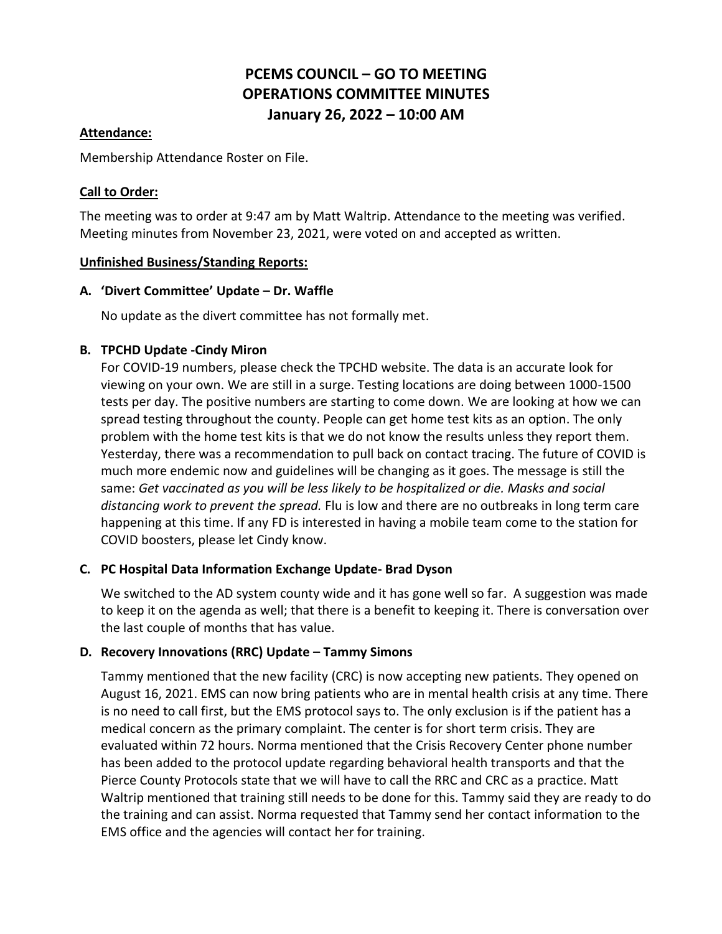# **PCEMS COUNCIL – GO TO MEETING OPERATIONS COMMITTEE MINUTES January 26, 2022 – 10:00 AM**

#### **Attendance:**

Membership Attendance Roster on File.

#### **Call to Order:**

The meeting was to order at 9:47 am by Matt Waltrip. Attendance to the meeting was verified. Meeting minutes from November 23, 2021, were voted on and accepted as written.

#### **Unfinished Business/Standing Reports:**

#### **A. 'Divert Committee' Update – Dr. Waffle**

No update as the divert committee has not formally met.

# **B. TPCHD Update -Cindy Miron**

For COVID-19 numbers, please check the TPCHD website. The data is an accurate look for viewing on your own. We are still in a surge. Testing locations are doing between 1000-1500 tests per day. The positive numbers are starting to come down. We are looking at how we can spread testing throughout the county. People can get home test kits as an option. The only problem with the home test kits is that we do not know the results unless they report them. Yesterday, there was a recommendation to pull back on contact tracing. The future of COVID is much more endemic now and guidelines will be changing as it goes. The message is still the same: *Get vaccinated as you will be less likely to be hospitalized or die. Masks and social distancing work to prevent the spread.* Flu is low and there are no outbreaks in long term care happening at this time. If any FD is interested in having a mobile team come to the station for COVID boosters, please let Cindy know.

# **C. PC Hospital Data Information Exchange Update- Brad Dyson**

We switched to the AD system county wide and it has gone well so far. A suggestion was made to keep it on the agenda as well; that there is a benefit to keeping it. There is conversation over the last couple of months that has value.

# **D. Recovery Innovations (RRC) Update – Tammy Simons**

Tammy mentioned that the new facility (CRC) is now accepting new patients. They opened on August 16, 2021. EMS can now bring patients who are in mental health crisis at any time. There is no need to call first, but the EMS protocol says to. The only exclusion is if the patient has a medical concern as the primary complaint. The center is for short term crisis. They are evaluated within 72 hours. Norma mentioned that the Crisis Recovery Center phone number has been added to the protocol update regarding behavioral health transports and that the Pierce County Protocols state that we will have to call the RRC and CRC as a practice. Matt Waltrip mentioned that training still needs to be done for this. Tammy said they are ready to do the training and can assist. Norma requested that Tammy send her contact information to the EMS office and the agencies will contact her for training.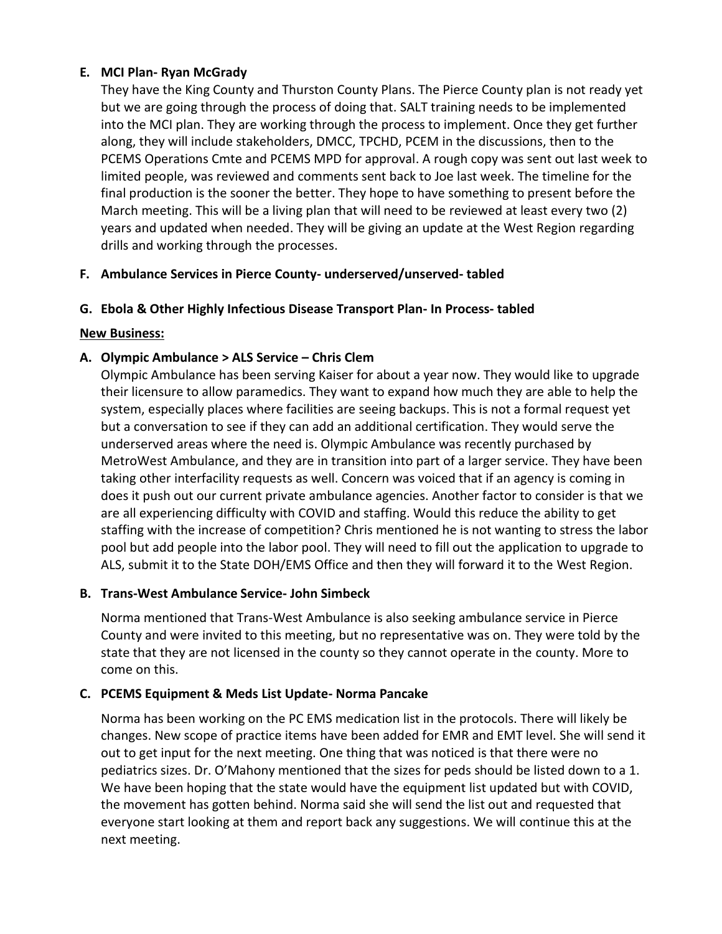# **E. MCI Plan- Ryan McGrady**

They have the King County and Thurston County Plans. The Pierce County plan is not ready yet but we are going through the process of doing that. SALT training needs to be implemented into the MCI plan. They are working through the process to implement. Once they get further along, they will include stakeholders, DMCC, TPCHD, PCEM in the discussions, then to the PCEMS Operations Cmte and PCEMS MPD for approval. A rough copy was sent out last week to limited people, was reviewed and comments sent back to Joe last week. The timeline for the final production is the sooner the better. They hope to have something to present before the March meeting. This will be a living plan that will need to be reviewed at least every two (2) years and updated when needed. They will be giving an update at the West Region regarding drills and working through the processes.

# **F. Ambulance Services in Pierce County- underserved/unserved- tabled**

# **G. Ebola & Other Highly Infectious Disease Transport Plan- In Process- tabled**

# **New Business:**

# **A. Olympic Ambulance > ALS Service – Chris Clem**

Olympic Ambulance has been serving Kaiser for about a year now. They would like to upgrade their licensure to allow paramedics. They want to expand how much they are able to help the system, especially places where facilities are seeing backups. This is not a formal request yet but a conversation to see if they can add an additional certification. They would serve the underserved areas where the need is. Olympic Ambulance was recently purchased by MetroWest Ambulance, and they are in transition into part of a larger service. They have been taking other interfacility requests as well. Concern was voiced that if an agency is coming in does it push out our current private ambulance agencies. Another factor to consider is that we are all experiencing difficulty with COVID and staffing. Would this reduce the ability to get staffing with the increase of competition? Chris mentioned he is not wanting to stress the labor pool but add people into the labor pool. They will need to fill out the application to upgrade to ALS, submit it to the State DOH/EMS Office and then they will forward it to the West Region.

# **B. Trans-West Ambulance Service- John Simbeck**

Norma mentioned that Trans-West Ambulance is also seeking ambulance service in Pierce County and were invited to this meeting, but no representative was on. They were told by the state that they are not licensed in the county so they cannot operate in the county. More to come on this.

# **C. PCEMS Equipment & Meds List Update- Norma Pancake**

Norma has been working on the PC EMS medication list in the protocols. There will likely be changes. New scope of practice items have been added for EMR and EMT level. She will send it out to get input for the next meeting. One thing that was noticed is that there were no pediatrics sizes. Dr. O'Mahony mentioned that the sizes for peds should be listed down to a 1. We have been hoping that the state would have the equipment list updated but with COVID, the movement has gotten behind. Norma said she will send the list out and requested that everyone start looking at them and report back any suggestions. We will continue this at the next meeting.